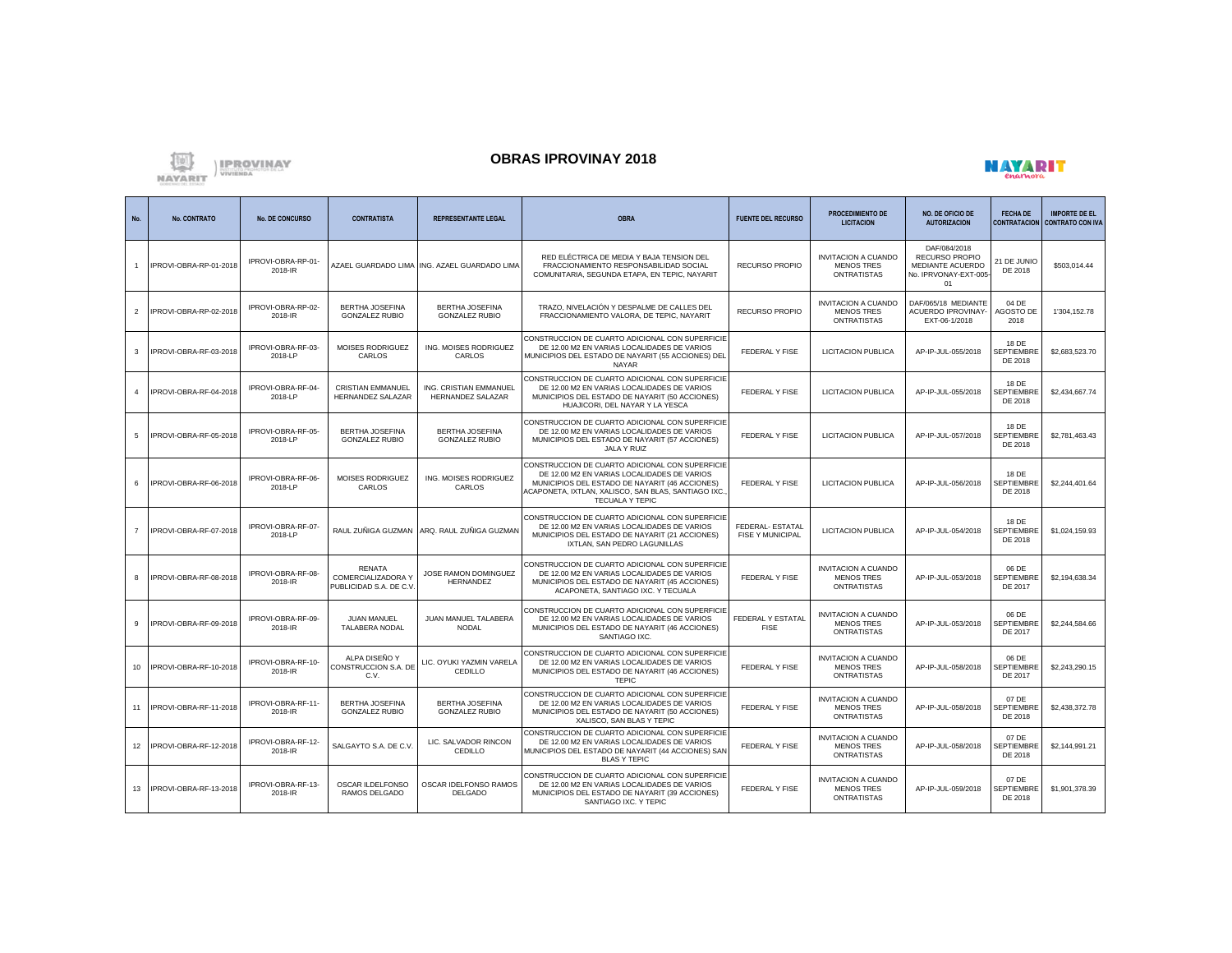

## **OBRAS IPROVINAY 2018**



| No.            | <b>No. CONTRATO</b>       | <b>No. DE CONCURSO</b>        | <b>CONTRATISTA</b>                                             | <b>REPRESENTANTE LEGAL</b>                         | <b>OBRA</b>                                                                                                                                                                                                                       | <b>FUENTE DEL RECURSO</b>                   | <b>PROCEDIMIENTO DE</b><br><b>LICITACION</b>                          | <b>NO. DE OFICIO DE</b><br><b>AUTORIZACION</b>                                          | <b>FECHA DE</b><br><b>CONTRATACION</b> | <b>IMPORTE DE EL</b><br><b>CONTRATO CON IVA</b> |
|----------------|---------------------------|-------------------------------|----------------------------------------------------------------|----------------------------------------------------|-----------------------------------------------------------------------------------------------------------------------------------------------------------------------------------------------------------------------------------|---------------------------------------------|-----------------------------------------------------------------------|-----------------------------------------------------------------------------------------|----------------------------------------|-------------------------------------------------|
|                | IPROVI-OBRA-RP-01-2018    | IPROVI-OBRA-RP-01-<br>2018-IR |                                                                | AZAEL GUARDADO LIMA ING. AZAEL GUARDADO LIMA       | RED ELÉCTRICA DE MEDIA Y BAJA TENSION DEL<br>FRACCIONAMIENTO RESPONSABILIDAD SOCIAL<br>COMUNITARIA, SEGUNDA ETAPA, EN TEPIC, NAYARIT                                                                                              | <b>RECURSO PROPIO</b>                       | <b>INVITACION A CUANDO</b><br><b>MENOS TRES</b><br><b>ONTRATISTAS</b> | DAF/084/2018<br><b>RECURSO PROPIO</b><br>MEDIANTE ACUERDO<br>No. IPRVONAY-EXT-005<br>01 | 21 DE JUNIO<br>DE 2018                 | \$503.014.44                                    |
| $\overline{2}$ | IPROVI-OBRA-RP-02-2018    | IPROVI-OBRA-RP-02-<br>2018-IR | <b>BERTHA JOSEFINA</b><br><b>GONZALEZ RUBIO</b>                | <b>BERTHA JOSEFINA</b><br><b>GONZALEZ RUBIO</b>    | TRAZO, NIVELACIÓN Y DESPALME DE CALLES DEL<br>FRACCIONAMIENTO VALORA, DE TEPIC, NAYARIT                                                                                                                                           | RECURSO PROPIO                              | <b>INVITACION A CUANDO</b><br><b>MENOS TRES</b><br><b>ONTRATISTAS</b> | DAF/065/18 MEDIANTE<br>ACUERDO IPROVINAY-<br>EXT-06-1/2018                              | 04 DE<br>AGOSTO DE<br>2018             | 1'304,152.78                                    |
| 3              | IPROVI-OBRA-RF-03-2018    | IPROVI-OBRA-RF-03-<br>2018-LP | MOISES RODRIGUEZ<br>CARLOS                                     | ING. MOISES RODRIGUEZ<br>CARLOS                    | CONSTRUCCION DE CUARTO ADICIONAL CON SUPERFICIE<br>DE 12.00 M2 EN VARIAS LOCALIDADES DE VARIOS<br>MUNICIPIOS DEL ESTADO DE NAYARIT (55 ACCIONES) DEL<br><b>NAYAR</b>                                                              | FEDERAL Y FISE                              | <b>LICITACION PUBLICA</b>                                             | AP-IP-JUL-055/2018                                                                      | 18 DE<br>SEPTIEMBRE<br>DE 2018         | \$2,683,523.70                                  |
| $\overline{a}$ | IPROVI-OBRA-RF-04-2018    | IPROVI-OBRA-RF-04-<br>2018-LP | <b>CRISTIAN EMMANUEL</b><br><b>HERNANDEZ SALAZAR</b>           | ING. CRISTIAN EMMANUEL<br><b>HERNANDEZ SALAZAR</b> | CONSTRUCCION DE CUARTO ADICIONAL CON SUPERFICIE<br>DE 12.00 M2 EN VARIAS LOCALIDADES DE VARIOS<br>MUNICIPIOS DEL ESTADO DE NAYARIT (50 ACCIONES)<br>HUAJICORI, DEL NAYAR Y LA YESCA                                               | FEDERAL Y FISE                              | <b>LICITACION PUBLICA</b>                                             | AP-IP-JUL-055/2018                                                                      | 18 DE<br><b>SEPTIEMBR</b><br>DE 2018   | \$2,434,667.74                                  |
| 5              | IPROVI-OBRA-RF-05-2018    | IPROVI-OBRA-RF-05-<br>2018-LP | <b>BERTHA JOSEFINA</b><br><b>GONZALEZ RUBIO</b>                | <b>BERTHA JOSEFINA</b><br><b>GONZALEZ RUBIO</b>    | CONSTRUCCION DE CUARTO ADICIONAL CON SUPERFICIE<br>DE 12.00 M2 EN VARIAS LOCALIDADES DE VARIOS<br>MUNICIPIOS DEL ESTADO DE NAYARIT (57 ACCIONES)<br>JALA Y RUIZ                                                                   | FEDERAL Y FISE                              | <b>LICITACION PUBLICA</b>                                             | AP-IP-JUL-057/2018                                                                      | 18 DE<br>SEPTIEMBRE<br>DE 2018         | \$2,781,463.43                                  |
| 6              | IPROVI-OBRA-RF-06-2018    | IPROVI-OBRA-RF-06-<br>2018-LP | <b>MOISES RODRIGUEZ</b><br>CARLOS                              | ING. MOISES RODRIGUEZ<br>CARLOS                    | CONSTRUCCION DE CUARTO ADICIONAL CON SUPERFICIE<br>DE 12.00 M2 EN VARIAS LOCALIDADES DE VARIOS<br>MUNICIPIOS DEL ESTADO DE NAYARIT (46 ACCIONES)<br>ACAPONETA, IXTLAN, XALISCO, SAN BLAS, SANTIAGO IXC.<br><b>TECUALA Y TEPIC</b> | <b>FEDERAL Y FISE</b>                       | LICITACION PUBLICA                                                    | AP-IP-JUL-056/2018                                                                      | 18 DE<br>SEPTIEMBRE<br>DE 2018         | \$2,244,401.64                                  |
| $\overline{7}$ | IPROVI-OBRA-RF-07-2018    | IPROVI-OBRA-RF-07-<br>2018-LP | RAUL ZUÑIGA GUZMAN                                             | ARQ. RAUL ZUÑIGA GUZMAN                            | CONSTRUCCION DE CUARTO ADICIONAL CON SUPERFICIE<br>DE 12.00 M2 EN VARIAS LOCALIDADES DE VARIOS<br>MUNICIPIOS DEL ESTADO DE NAYARIT (21 ACCIONES)<br>IXTLAN, SAN PEDRO LAGUNILLAS                                                  | FEDERAL- ESTATAL<br><b>FISE Y MUNICIPAL</b> | <b>LICITACION PUBLICA</b>                                             | AP-IP-JUL-054/2018                                                                      | 18 DE<br>SEPTIEMBRI<br>DE 2018         | \$1,024,159.93                                  |
| 8              | IPROVI-OBRA-RF-08-2018    | IPROVI-OBRA-RF-08-<br>2018-IR | RENATA<br><b>COMERCIALIZADORA Y</b><br>PUBLICIDAD S.A. DE C.V. | JOSE RAMON DOMINGUEZ<br><b>HERNANDEZ</b>           | CONSTRUCCION DE CUARTO ADICIONAL CON SUPERFICIE<br>DE 12.00 M2 EN VARIAS LOCALIDADES DE VARIOS<br>MUNICIPIOS DEL ESTADO DE NAYARIT (45 ACCIONES)<br>ACAPONETA, SANTIAGO IXC. Y TECUALA                                            | FEDERAL Y FISE                              | <b>INVITACION A CUANDO</b><br><b>MENOS TRES</b><br><b>ONTRATISTAS</b> | AP-IP-JUL-053/2018                                                                      | 06 DE<br>SEPTIEMBRI<br>DE 2017         | \$2.194.638.34                                  |
| q              | IPROVI-OBRA-RF-09-2018    | IPROVI-OBRA-RF-09-<br>2018-IR | <b>JUAN MANUEL</b><br><b>TALABERA NODAL</b>                    | JUAN MANUEL TALABERA<br><b>NODAL</b>               | CONSTRUCCION DE CUARTO ADICIONAL CON SUPERFICIE<br>DE 12.00 M2 EN VARIAS LOCALIDADES DE VARIOS<br>MUNICIPIOS DEL ESTADO DE NAYARIT (46 ACCIONES)<br>SANTIAGO IXC.                                                                 | <b>FEDERAL Y ESTATAL</b><br><b>FISE</b>     | <b>INVITACION A CUANDO</b><br><b>MENOS TRES</b><br><b>ONTRATISTAS</b> | AP-IP-JUL-053/2018                                                                      | 06 DE<br>SEPTIEMBRE<br>DE 2017         | \$2,244,584.66                                  |
| 10             | IPROVI-OBRA-RF-10-2018    | IPROVI-OBRA-RF-10-<br>2018-IR | ALPA DISEÑO Y<br>CONSTRUCCION S.A. DE<br>C.V.                  | LIC. OYUKI YAZMIN VARELA<br>CEDILLO                | CONSTRUCCION DE CUARTO ADICIONAL CON SUPERFICIE<br>DE 12.00 M2 EN VARIAS LOCALIDADES DE VARIOS<br>MUNICIPIOS DEL ESTADO DE NAYARIT (46 ACCIONES)<br><b>TEPIC</b>                                                                  | FEDERAL Y FISE                              | <b>INVITACION A CUANDO</b><br><b>MENOS TRES</b><br><b>ONTRATISTAS</b> | AP-IP-JUL-058/2018                                                                      | 06 DE<br><b>SEPTIEMBR</b><br>DE 2017   | \$2,243,290.15                                  |
| 11             | IPROVI-OBRA-RF-11-2018    | IPROVI-OBRA-RF-11-<br>2018-IR | <b>BERTHA JOSEFINA</b><br><b>GONZALEZ RUBIO</b>                | <b>BERTHA JOSEFINA</b><br><b>GONZALEZ RUBIO</b>    | CONSTRUCCION DE CUARTO ADICIONAL CON SUPERFICIE<br>DE 12.00 M2 EN VARIAS LOCALIDADES DE VARIOS<br>MUNICIPIOS DEL ESTADO DE NAYARIT (50 ACCIONES)<br>XALISCO, SAN BLAS Y TEPIC                                                     | FEDERAL Y FISE                              | <b>INVITACION A CUANDO</b><br><b>MENOS TRES</b><br><b>ONTRATISTAS</b> | AP-IP-JUL-058/2018                                                                      | 07 DE<br><b>SEPTIEMBR</b><br>DE 2018   | \$2,438,372.78                                  |
| 12             | IPROVI-OBRA-RF-12-2018    | IPROVI-OBRA-RF-12-<br>2018-IR | SALGAYTO S.A. DE C.V                                           | LIC. SALVADOR RINCON<br><b>CEDILLO</b>             | CONSTRUCCION DE CUARTO ADICIONAL CON SUPERFICIE<br>DE 12.00 M2 EN VARIAS LOCALIDADES DE VARIOS<br>MUNICIPIOS DEL ESTADO DE NAYARIT (44 ACCIONES) SAN<br><b>BLAS Y TEPIC</b>                                                       | FEDERAL Y FISE                              | <b>INVITACION A CUANDO</b><br><b>MENOS TRES</b><br><b>ONTRATISTAS</b> | AP-IP-JUL-058/2018                                                                      | 07 DE<br>SEPTIEMBR<br>DE 2018          | \$2,144,991.21                                  |
|                | 13 IPROVI-OBRA-RF-13-2018 | IPROVI-OBRA-RF-13-<br>2018-IR | OSCAR ILDELFONSO<br>RAMOS DELGADO                              | OSCAR IDELFONSO RAMOS<br><b>DELGADO</b>            | CONSTRUCCION DE CUARTO ADICIONAL CON SUPERFICIE<br>DE 12.00 M2 EN VARIAS LOCALIDADES DE VARIOS<br>MUNICIPIOS DEL ESTADO DE NAYARIT (39 ACCIONES)<br>SANTIAGO IXC. Y TEPIC                                                         | FEDERAL Y FISE                              | <b>INVITACION A CUANDO</b><br><b>MENOS TRES</b><br><b>ONTRATISTAS</b> | AP-IP-JUL-059/2018                                                                      | 07 DE<br>SEPTIEMBRE<br>DE 2018         | \$1,901,378.39                                  |